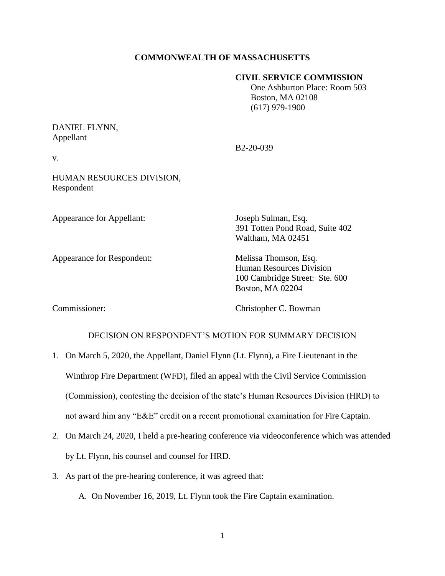## **COMMONWEALTH OF MASSACHUSETTS**

#### **CIVIL SERVICE COMMISSION**

 One Ashburton Place: Room 503 Boston, MA 02108 (617) 979-1900

# DANIEL FLYNN, Appellant

B2-20-039

v.

HUMAN RESOURCES DIVISION, Respondent

Appearance for Appellant: Joseph Sulman, Esq.

Appearance for Respondent: Melissa Thomson, Esq.

391 Totten Pond Road, Suite 402 Waltham, MA 02451

Human Resources Division 100 Cambridge Street: Ste. 600 Boston, MA 02204

Commissioner: Christopher C. Bowman

## DECISION ON RESPONDENT'S MOTION FOR SUMMARY DECISION

- 1. On March 5, 2020, the Appellant, Daniel Flynn (Lt. Flynn), a Fire Lieutenant in the Winthrop Fire Department (WFD), filed an appeal with the Civil Service Commission (Commission), contesting the decision of the state's Human Resources Division (HRD) to not award him any "E&E" credit on a recent promotional examination for Fire Captain.
- 2. On March 24, 2020, I held a pre-hearing conference via videoconference which was attended by Lt. Flynn, his counsel and counsel for HRD.
- 3. As part of the pre-hearing conference, it was agreed that:

A. On November 16, 2019, Lt. Flynn took the Fire Captain examination.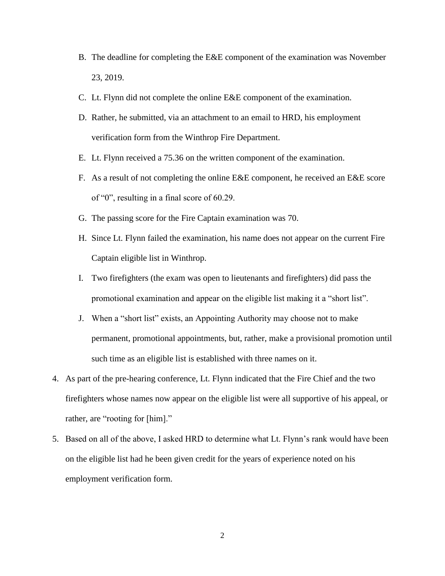- B. The deadline for completing the E&E component of the examination was November 23, 2019.
- C. Lt. Flynn did not complete the online E&E component of the examination.
- D. Rather, he submitted, via an attachment to an email to HRD, his employment verification form from the Winthrop Fire Department.
- E. Lt. Flynn received a 75.36 on the written component of the examination.
- F. As a result of not completing the online E&E component, he received an E&E score of "0", resulting in a final score of 60.29.
- G. The passing score for the Fire Captain examination was 70.
- H. Since Lt. Flynn failed the examination, his name does not appear on the current Fire Captain eligible list in Winthrop.
- I. Two firefighters (the exam was open to lieutenants and firefighters) did pass the promotional examination and appear on the eligible list making it a "short list".
- J. When a "short list" exists, an Appointing Authority may choose not to make permanent, promotional appointments, but, rather, make a provisional promotion until such time as an eligible list is established with three names on it.
- 4. As part of the pre-hearing conference, Lt. Flynn indicated that the Fire Chief and the two firefighters whose names now appear on the eligible list were all supportive of his appeal, or rather, are "rooting for [him]."
- 5. Based on all of the above, I asked HRD to determine what Lt. Flynn's rank would have been on the eligible list had he been given credit for the years of experience noted on his employment verification form.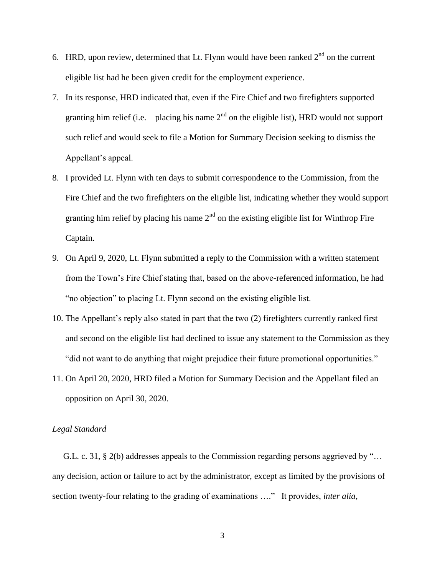- 6. HRD, upon review, determined that Lt. Flynn would have been ranked  $2<sup>nd</sup>$  on the current eligible list had he been given credit for the employment experience.
- 7. In its response, HRD indicated that, even if the Fire Chief and two firefighters supported granting him relief (i.e.  $-$  placing his name  $2<sup>nd</sup>$  on the eligible list), HRD would not support such relief and would seek to file a Motion for Summary Decision seeking to dismiss the Appellant's appeal.
- 8. I provided Lt. Flynn with ten days to submit correspondence to the Commission, from the Fire Chief and the two firefighters on the eligible list, indicating whether they would support granting him relief by placing his name  $2<sup>nd</sup>$  on the existing eligible list for Winthrop Fire Captain.
- 9. On April 9, 2020, Lt. Flynn submitted a reply to the Commission with a written statement from the Town's Fire Chief stating that, based on the above-referenced information, he had "no objection" to placing Lt. Flynn second on the existing eligible list.
- 10. The Appellant's reply also stated in part that the two (2) firefighters currently ranked first and second on the eligible list had declined to issue any statement to the Commission as they "did not want to do anything that might prejudice their future promotional opportunities."
- 11. On April 20, 2020, HRD filed a Motion for Summary Decision and the Appellant filed an opposition on April 30, 2020.

#### *Legal Standard*

 G.L. c. 31, § 2(b) addresses appeals to the Commission regarding persons aggrieved by "… any decision, action or failure to act by the administrator, except as limited by the provisions of section twenty-four relating to the grading of examinations …." It provides, *inter alia*,

3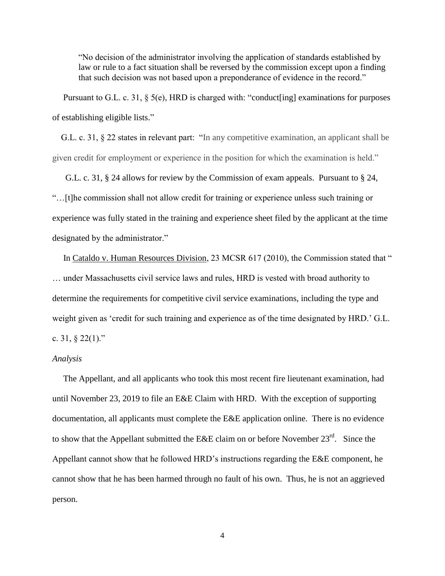"No decision of the administrator involving the application of standards established by law or rule to a fact situation shall be reversed by the commission except upon a finding that such decision was not based upon a preponderance of evidence in the record."

Pursuant to G.L. c. 31, § 5(e), HRD is charged with: "conduct [ing] examinations for purposes of establishing eligible lists."

 G.L. c. 31, § 22 states in relevant part: "In any competitive examination, an applicant shall be given credit for employment or experience in the position for which the examination is held."

 G.L. c. 31, § 24 allows for review by the Commission of exam appeals. Pursuant to § 24, "…[t]he commission shall not allow credit for training or experience unless such training or experience was fully stated in the training and experience sheet filed by the applicant at the time designated by the administrator."

In Cataldo v. Human Resources Division, 23 MCSR 617 (2010), the Commission stated that " … under Massachusetts civil service laws and rules, HRD is vested with broad authority to determine the requirements for competitive civil service examinations, including the type and weight given as 'credit for such training and experience as of the time designated by HRD.' G.L. c. 31, § 22(1)."

#### *Analysis*

 The Appellant, and all applicants who took this most recent fire lieutenant examination, had until November 23, 2019 to file an E&E Claim with HRD. With the exception of supporting documentation, all applicants must complete the E&E application online. There is no evidence to show that the Appellant submitted the E&E claim on or before November  $23^{\text{rd}}$ . Since the Appellant cannot show that he followed HRD's instructions regarding the E&E component, he cannot show that he has been harmed through no fault of his own. Thus, he is not an aggrieved person.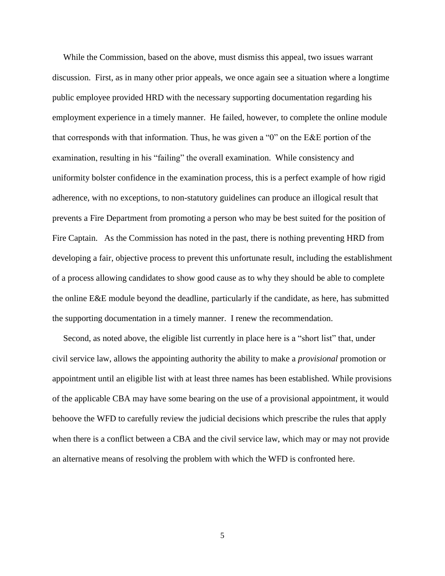While the Commission, based on the above, must dismiss this appeal, two issues warrant discussion. First, as in many other prior appeals, we once again see a situation where a longtime public employee provided HRD with the necessary supporting documentation regarding his employment experience in a timely manner. He failed, however, to complete the online module that corresponds with that information. Thus, he was given a "0" on the E&E portion of the examination, resulting in his "failing" the overall examination. While consistency and uniformity bolster confidence in the examination process, this is a perfect example of how rigid adherence, with no exceptions, to non-statutory guidelines can produce an illogical result that prevents a Fire Department from promoting a person who may be best suited for the position of Fire Captain. As the Commission has noted in the past, there is nothing preventing HRD from developing a fair, objective process to prevent this unfortunate result, including the establishment of a process allowing candidates to show good cause as to why they should be able to complete the online E&E module beyond the deadline, particularly if the candidate, as here, has submitted the supporting documentation in a timely manner. I renew the recommendation.

 Second, as noted above, the eligible list currently in place here is a "short list" that, under civil service law, allows the appointing authority the ability to make a *provisional* promotion or appointment until an eligible list with at least three names has been established. While provisions of the applicable CBA may have some bearing on the use of a provisional appointment, it would behoove the WFD to carefully review the judicial decisions which prescribe the rules that apply when there is a conflict between a CBA and the civil service law, which may or may not provide an alternative means of resolving the problem with which the WFD is confronted here.